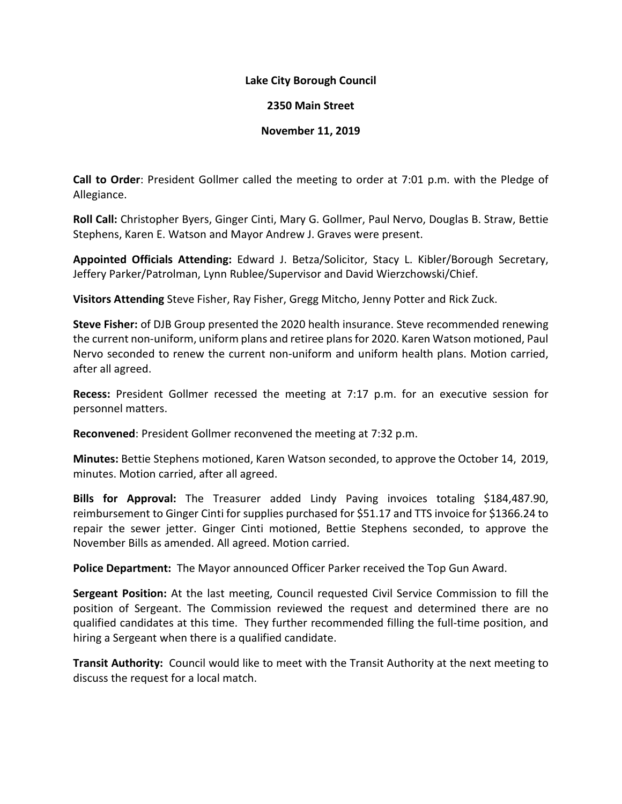## **Lake City Borough Council**

## **2350 Main Street**

## **November 11, 2019**

**Call to Order**: President Gollmer called the meeting to order at 7:01 p.m. with the Pledge of Allegiance.

**Roll Call:** Christopher Byers, Ginger Cinti, Mary G. Gollmer, Paul Nervo, Douglas B. Straw, Bettie Stephens, Karen E. Watson and Mayor Andrew J. Graves were present.

**Appointed Officials Attending:** Edward J. Betza/Solicitor, Stacy L. Kibler/Borough Secretary, Jeffery Parker/Patrolman, Lynn Rublee/Supervisor and David Wierzchowski/Chief.

**Visitors Attending** Steve Fisher, Ray Fisher, Gregg Mitcho, Jenny Potter and Rick Zuck.

**Steve Fisher:** of DJB Group presented the 2020 health insurance. Steve recommended renewing the current non-uniform, uniform plans and retiree plans for 2020. Karen Watson motioned, Paul Nervo seconded to renew the current non-uniform and uniform health plans. Motion carried, after all agreed.

**Recess:** President Gollmer recessed the meeting at 7:17 p.m. for an executive session for personnel matters.

**Reconvened**: President Gollmer reconvened the meeting at 7:32 p.m.

**Minutes:** Bettie Stephens motioned, Karen Watson seconded, to approve the October 14, 2019, minutes. Motion carried, after all agreed.

**Bills for Approval:** The Treasurer added Lindy Paving invoices totaling \$184,487.90, reimbursement to Ginger Cinti for supplies purchased for \$51.17 and TTS invoice for \$1366.24 to repair the sewer jetter. Ginger Cinti motioned, Bettie Stephens seconded, to approve the November Bills as amended. All agreed. Motion carried.

**Police Department:** The Mayor announced Officer Parker received the Top Gun Award.

**Sergeant Position:** At the last meeting, Council requested Civil Service Commission to fill the position of Sergeant. The Commission reviewed the request and determined there are no qualified candidates at this time. They further recommended filling the full-time position, and hiring a Sergeant when there is a qualified candidate.

**Transit Authority:** Council would like to meet with the Transit Authority at the next meeting to discuss the request for a local match.